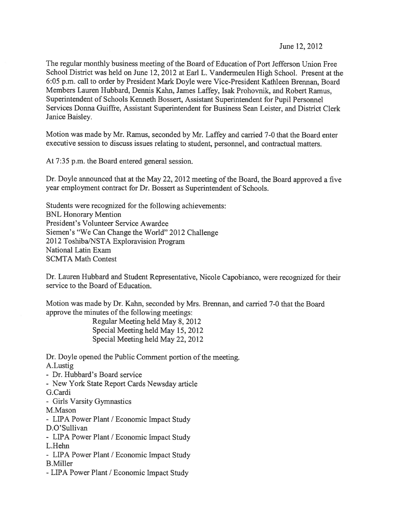June 12, 2012

The regular monthly business meeting of the Board of Education of Port Jefferson Union Free School District was held on June 12, <sup>2012</sup> at Earl L. Vandermeulen High School. Present at the 6:05 p.m. call to order by President Mark Doyle were Vice-President Kathleen Brennan, Board Members Lauren Hubbard, Dennis Kahn, James Laffey, Isak Prohovnik, and Robert Ramus, Superintendent of Schools Kenneth Bossert, Assistant Superintendent for Pupil Personnel Services Donna Guiffre, Assistant Superintendent for Business Sean Leister, and District Clerk Janice Baisley.

Motion was made by Mr. Ramus, seconded by Mr. Laffey and carried 7-0 that the Board enter executive session to discuss issues relating to student, personnel, and contractual matters.

At 7:35 p.m. the Board entered general session.

Dr. Doyle announced that at the May 22, 2012 meeting of the Board, the Board approved a five year employment contract for Dr. Bossert as Superintendent of Schools.

Students were recognized for the following achievements: BNL Honorary Mention President's Volunteer Service Awardee Siemen's "We Can Change the World" 2012 Challenge 2012 Toshiba/NSTA Exploravision Program National Latin Exam SCMTA Math Contest

Dr. Lauren Hubbard and Student Representative, Nicole Capobianco, were recognized for their service to the Board of Education.

Motion was made by Dr. Kahn, seconded by Mrs. Brennan, and carried 7-0 that the Board approve the minutes of the following meetings:

> Regular Meeting held May 8, 2012 Special Meeting held May 15, 2012 Special Meeting held May 22, 2012

Dr. Doyle opened the Public Comment portion of the meeting.

A.Lustig

- Dr. Hubbard's Board service

- New York State Report Cards Newsday article

G.Cardi

- Girls Varsity Gymnastics

M.Mason

- LIPA Power Plant / Economic Impact Study

D.O'Sullivan

- LIPA Power Plant / Economic Impact Study L.Hehn

- LIPA Power Plant / Economic Impact Study B.Miller
- -LIPA Power Plant / Economic Impact Study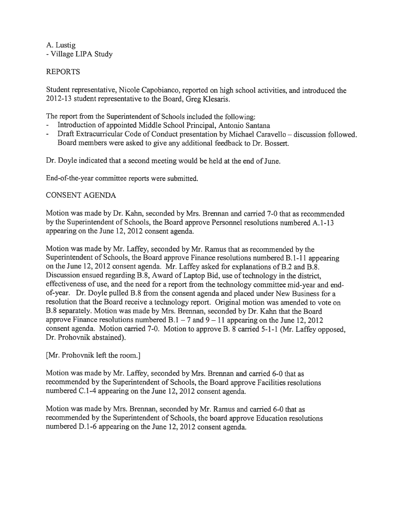A. Lustig -Village LIPA Study

## REPORTS

Student representative, Nicole Capobianco, reported on high school activities, and introduced the <sup>20</sup> 12-13 student representative to the Board, Greg Kiesaris.

The repor<sup>t</sup> from the Superintendent of Schools included the following:

- Introduction of appointed Middle School Principal, Antonio Santana
- - Draft Extracurricular Code of Conduct presentation by Michael Caravello — discussion followed. Board members were asked to give any additional feedback to Dr. Bossert.

Dr. Doyle indicated that a second meeting would be held at the end of June.

End-of-the-year committee reports were submitted.

## CONSENT AGENDA

Motion was made by Dr. Kahn, seconded by Mrs. Brennan and carried 7-0 that as recommended by the Superintendent of Schools, the Board approve Personnel resolutions numbered A. 1-13 appearing on the June 12, 2012 consent agenda.

Motion was made by Mr. Laffey, seconded by Mr. Ramus that as recommended by the Superintendent of Schools, the Board approve Finance resolutions numbered B. 1-11 appearing on the June 12, 2012 consent agenda. Mr. Laffey asked for explanations of B.2 and B.8. Discussion ensued regarding B.8, Award of Laptop Bid, use of technology in the district, effectiveness of use, and the need for <sup>a</sup> repor<sup>t</sup> from the technology committee mid-year and endof-year. Dr. Doyle pulled B.8 from the consent agenda and <sup>p</sup>laced under New Business for <sup>a</sup> resolution that the Board receive <sup>a</sup> technology report. Original motion was amended to vote on B.8 separately. Motion was made by Mrs. Brennan, seconded by Dr. Kahn that the Board approve Finance resolutions numbered  $B.1 - 7$  and  $9 - 11$  appearing on the June 12, 2012 consent agenda. Motion carried 7-0. Motion to approve B. <sup>8</sup> carried 5-1-1 (Mr. Laffey opposed, Dr. Prohovnik abstained).

## [Mr. Prohovnik left the room.]

Motion was made by Mr. Laffey, seconded by Mrs. Brennan and carried 6-0 that as recommended by the Superintendent of Schools, the Board approve Facilities resolutions numbered C.1-4 appearing on the June 12, 2012 consent agenda.

Motion was made by Mrs. Brennan, seconded by Mr. Ramus and carried 6-0 that as recommended by the Superintendent of Schools, the board approve Education resolutions numbered D.1-6 appearing on the June 12, <sup>2012</sup> consent agenda.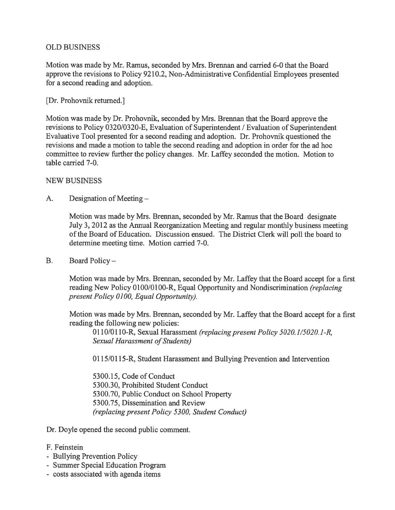## OLD BUSINESS

Motion was made by Mr. Ramus, seconded by Mrs. Brennan and carried 6-0 that the Board approve the revisions to Policy 9210.2, Non-Administrative Confidential Employees presented for <sup>a</sup> second reading and adoption.

## [Dr. Prohovnik returned.]

Motion was made by Dr. Prohovnik, seconded by Mrs. Brennan that the Board approve the revisions to Policy 0320/0320-E, Evaluation of Superintendent / Evaluation of Superintendent Evaluative Tool presented for <sup>a</sup> second reading and adoption. Dr. Prohovnik questioned the revisions and made <sup>a</sup> motion to table the second reading and adoption in order for the ad hoc committee to review further the policy changes. Mr. Laffey seconded the motion. Motion to table carried 7-0.

## NEW BUSINESS

A. Designation of Meeting —

Motion was made by Mrs. Brennan, seconded by Mr. Ramus that the Board designate July 3, 2012 as the Annual Reorganization Meeting and regular monthly business meeting ofthe Board of Education. Discussion ensued. The District Clerk will poll the board to determine meeting time. Motion carried 7-0.

B. Board Policy —

Motion was made by Mrs. Brennan, seconded by Mr. Laffey that the Board accep<sup>t</sup> for <sup>a</sup> first reading New Policy 0100/0100-R, Equal Opportunity and Nondiscrimination (replacing presen<sup>t</sup> Policy 0100, Equal Opportunity).

Motion was made by Mrs. Brennan, seconded by Mr. Laffey that the Board accep<sup>t</sup> for <sup>a</sup> first reading the following new policies:

0l10/0110-R, Sexual Harassment (replacing presen<sup>t</sup> Policy 5020.1/5020.1-R, Sexual Harassment of Students)

0115/01 15-R, Student Harassment and Bullying Prevention and Intervention

5300.15, Code of Conduct 5300.30, Prohibited Student Conduct 5300.70, Public Conduct on School Property 5300.75, Dissemination and Review (replacing presen<sup>t</sup> Policy 5300, Student Conduct,)

Dr. Doyle opened the second public comment.

- F. Feinstein
- Bullying Prevention Policy
- Summer Special Education Program
- costs associated with agenda items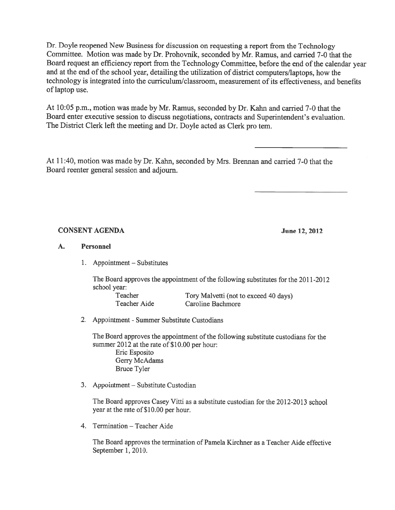Dr. Doyle reopene<sup>d</sup> New Business for discussion on requesting <sup>a</sup> repor<sup>t</sup> from the Technology Committee. Motion was made by Dr. Prohovnik, seconded by Mr. Ramus, and carried 7-0 that the Board reques<sup>t</sup> an efficiency repor<sup>t</sup> from the Technology Committee, before the end of the calendar year and at the end of the school year, detailing the utilization of district computers/laptops, how the technology is integrated into the curriculum/classroom, measurement of its effectiveness, and benefits oflaptop use.

At 10:05 p.m., motion was made by Mr. Ramus, seconded by Dr. Kahn and carried 7-0 that the Board enter executive session to discuss negotiations, contracts and Superintendent's evaluation. The District Clerk left the meeting and Dr. Doyle acted as Clerk pro tem.

At 11:40, motion was made by Dr. Kahn, seconded by Mrs. Brennan and carried 7-0 that the Board reenter general session and adjourn.

#### CONSENT AGENDA June 12, 2012

#### A. Personnel

1. Appointment — Substitutes

The Board approves the appointment of the following substitutes for the 2011-2012 school year: Teacher Tory Malvetti (not to exceed 40 days) Teacher Aide Caroline Bachmore

2. Appointment - Summer Substitute Custodians

The Board approves the appointment of the following substitute custodians for the summer 2012 at the rate of \$10.00 per hour: Eric Esposito Gerry McAdams Bruce Tyler

3. Appointment — Substitute Custodian

The Board approves Casey Vitti as <sup>a</sup> substitute custodian for the 2012-2013 school year at the rate of \$10.00 per hour.

4. Termination — Teacher Aide

The Board approves the termination of Pamela Kirchner as <sup>a</sup> Teacher Aide effective September 1, 2010.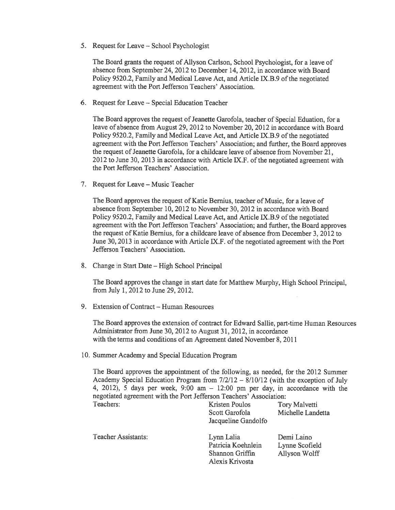5. Request for Leave — School Psychologist

The Board grants the reques<sup>t</sup> of Allyson Carison, School Psychologist, for <sup>a</sup> leave of absence from September 24, 2012 to December 14, 2012, in accordance with Board Policy 9520.2, Family and Medical Leave Act, and Article IX.B.9 of the negotiated agreemen<sup>t</sup> with the Port Jefferson Teachers' Association.

6. Request for Leave — Special Education Teacher

The Board approves the reques<sup>t</sup> of Jeanette Garofola, teacher of Special Eduation, for <sup>a</sup> leave of absence from August 29, 2012 to November 20, 2012 in accordance with Board Policy 9520.2, Family and Medical Leave Act, and Article IX.B.9 of the negotiated agreemen<sup>t</sup> with the Port Jefferson Teachers' Association; and further, the Board approves the request of Jeanette Garofola, for a childcare leave of absence from November 21, 2012 to June 30, 2013 in accordance with Article IX.F. of the negotiated agreement with the Port Jefferson Teachers' Association.

7. Request for Leave — Music Teacher

The Board approves the reques<sup>t</sup> of Katie Bernius, teacher of Music, for <sup>a</sup> leave of absence from September 10, 2012 to November 30, 2012 in accordance with Board Policy 9520.2, Family and Medical Leave Act, and Article IX.B.9 of the negotiated agreemen<sup>t</sup> with the Port Jefferson Teachers' Association; and further, the Board approves the reques<sup>t</sup> of Katie Bernius, for <sup>a</sup> childcare leave of absence from December 3, 2012 to June 30, 2013 in accordance with Article IX.F. of the negotiated agreement with the Port Jefferson Teachers' Association.

8. Change in Start Date — High School Principal

The Board approves the change in start date for Matthew Murphy, High School Principal, from July 1, 2012 to June 29, 2012.

9. Extension of Contract — Human Resources

The Board approves the extension of contract for Edward Sallie, part-time Human Resources Administrator from June 30, 2012 to August 31, 2012, in accordance with the terms and conditions of an Agreement dated November 8, 2011

10. Summer Academy and Special Education Program

The Board approves the appointment of the following, as needed, for the 2012 Summer Academy Special Education Program from 7/2/12 — 8/10/12 (with the exception of July 4, 2012), <sup>5</sup> days per week, 9:00 am — 12:00 pm per day, in accordance with the negotiated agreemen<sup>t</sup> with the Port Jefferson Teachers' Association:

| Teachers:                  | Kristen Poulos<br>Scott Garofola<br>Jacqueline Gandolfo                | Tory Malvetti<br>Michelle Landetta            |
|----------------------------|------------------------------------------------------------------------|-----------------------------------------------|
| <b>Teacher Assistants:</b> | Lynn Lalia<br>Patricia Koehnlein<br>Shannon Griffin<br>Alexis Krivosta | Demi Laino<br>Lynne Scofield<br>Allyson Wolff |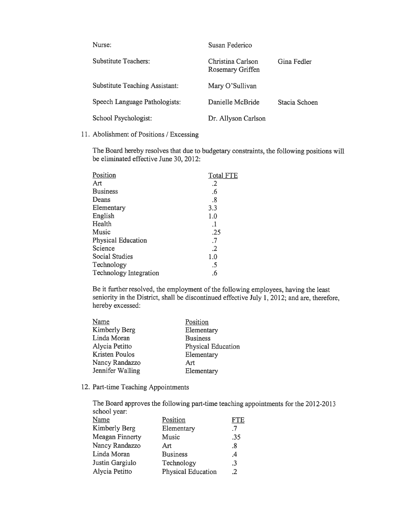| Nurse:                                | Susan Federico                                       |               |  |  |
|---------------------------------------|------------------------------------------------------|---------------|--|--|
| Substitute Teachers:                  | Christina Carlson<br>Gina Fedler<br>Rosemary Griffen |               |  |  |
| <b>Substitute Teaching Assistant:</b> | Mary O'Sullivan                                      |               |  |  |
| Speech Language Pathologists:         | Danielle McBride                                     | Stacia Schoen |  |  |
| School Psychologist:                  | Dr. Allyson Carlson                                  |               |  |  |

11. Abolishment of Positions / Excessing

The Board hereby resolves that due to budgetary constraints, the following positions will be eliminated effective June 30, 2012:

| Position                      | <b>Total FTE</b> |
|-------------------------------|------------------|
| Art                           | $\cdot$ .2       |
| <b>Business</b>               | .6               |
| Deans                         | .8               |
| Elementary                    | 3.3              |
| English                       | 1.0              |
| Health                        | .1               |
| Music                         | .25              |
| <b>Physical Education</b>     | $\cdot$ 7        |
| Science                       | $\cdot$ .2       |
| Social Studies                | 1.0              |
| Technology                    | .5               |
| <b>Technology Integration</b> | .6               |
|                               |                  |

Be it further resolved, the employment of the following employees, having the least seniority in the District, shall be discontinued effective July 1, 2012; and are, therefore, hereby excessed:

| Name                  | Position           |
|-----------------------|--------------------|
| Kimberly Berg         | Elementary         |
| Linda Moran           | <b>Business</b>    |
| Alycia Petitto        | Physical Education |
| <b>Kristen Poulos</b> | Elementary         |
| Nancy Randazzo        | Art                |
| Jennifer Walling      | Elementary         |
|                       |                    |

12. Part-time Teaching Appointments

The Board approves the following part-time teaching appointments for the 2012-2013 school year:

| Name                   | Position                  | FTE            |
|------------------------|---------------------------|----------------|
| Kimberly Berg          | Elementary                | .7             |
| <b>Meagan Finnerty</b> | Music                     | .35            |
| Nancy Randazzo         | Art                       | .8             |
| Linda Moran            | <b>Business</b>           | $\cdot^4$      |
| Justin Gargiulo        | Technology                | .3             |
| Alycia Petitto         | <b>Physical Education</b> | $\overline{2}$ |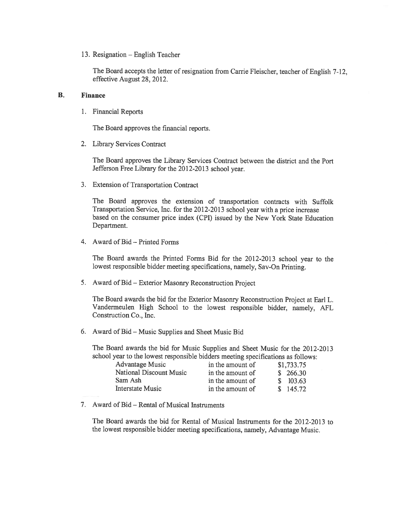13. Resignation — English Teacher

The Board accepts the letter of resignation from Carrie Fleischer, teacher of English 7-12, effective August 28, 2012.

#### B. Finance

1. Financial Reports

The Board approves the financial reports.

2. Library Services Contract

The Board approves the Library Services Contract between the district and the Port Jefferson Free Library for the 2012-2013 school year.

3. Extension of Transportation Contract

The Board approves the extension of transportation contracts with Suffolk Transportation Service, Inc. for the 2012-2013 school year with <sup>a</sup> price increase based on the consumer price index (CPI) issued by the New York State Education Department.

4. Award of Bid — Printed Forms

The Board awards the Printed Forms Bid for the 2012-2013 school year to the lowest responsible bidder meeting specifications, namely, Say-On Printing.

5. Award of Bid — Exterior Masonry Reconstruction Project

The Board awards the bid for the Exterior Masonry Reconstruction Project at Earl L. Vandermeulen High School to the lowest responsible bidder, namely, AFL Construction Co., Inc.

6. Award of Bid — Music Supplies and Sheet Music Bid

The Board awards the bid for Music Supplies and Sheet Music for the 2012-2013 school year to the lowest responsible bidders meeting specifications as follows:

| <b>Advantage Music</b>  | in the amount of | \$1,733.75 |
|-------------------------|------------------|------------|
| National Discount Music | in the amount of | \$266.30   |
| Sam Ash                 | in the amount of | \$103.63   |
| <b>Interstate Music</b> | in the amount of | \$145.72   |

7. Award of Bid — Rental of Musical Instruments

The Board awards the bid for Rental of Musical Instruments for the 2012-2013 to the lowest responsible bidder meeting specifications, namely, Advantage Music.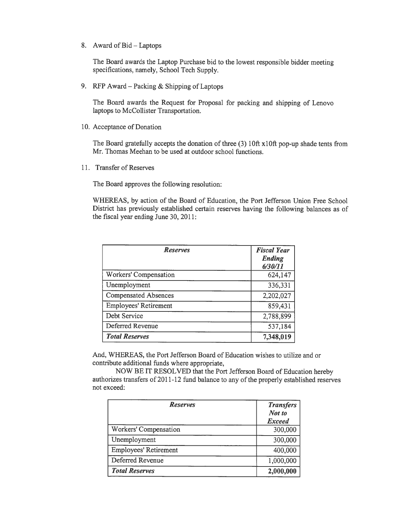8. Award of Bid— Laptops

The Board awards the Laptop Purchase bid to the lowest responsible bidder meeting specifications, namely, School Tech Supply.

9. RFP Award — Packing & Shipping of Laptops

The Board awards the Request for Proposal for packing and shipping of Lenovo laptops to McCollister Transportation.

10. Acceptance of Donation

The Board gratefully accepts the donation of three (3) 10ft  $x10$ ft pop-up shade tents from Mr. Thomas Meehan to be used at outdoor school functions.

11. Transfer of Reserves

The Board approves the following resolution:

WHEREAS, by action of the Board of Education, the Port Jefferson Union Free School District has previously established certain reserves having the following balances as of the fiscal year ending June 30, 2011:

| <b>Reserves</b>              | <b>Fiscal Year</b><br>Ending<br>6/30/11 |  |
|------------------------------|-----------------------------------------|--|
| Workers' Compensation        | 624,147                                 |  |
| Unemployment                 | 336,331                                 |  |
| <b>Compensated Absences</b>  | 2,202,027                               |  |
| <b>Employees' Retirement</b> | 859,431                                 |  |
| Debt Service                 | 2,788,899                               |  |
| Deferred Revenue             | 537,184                                 |  |
| <b>Total Reserves</b>        | 7,348,019                               |  |

And, WHEREAS, the Port Jefferson Board of Education wishes to utilize and or contribute additional funds where appropriate,

NOW BE IT RESOLVED that the Port Jefferson Board of Education hereby authorizes transfers of 2011-12 fund balance to any ofthe properly established reserves not exceed:

| <b>Reserves</b>              | <b>Transfers</b><br>Not to<br><b>Exceed</b> |
|------------------------------|---------------------------------------------|
| Workers' Compensation        | 300,000                                     |
| Unemployment                 | 300,000                                     |
| <b>Employees' Retirement</b> | 400,000                                     |
| Deferred Revenue             | 1,000,000                                   |
| <b>Total Reserves</b>        | 2,000,000                                   |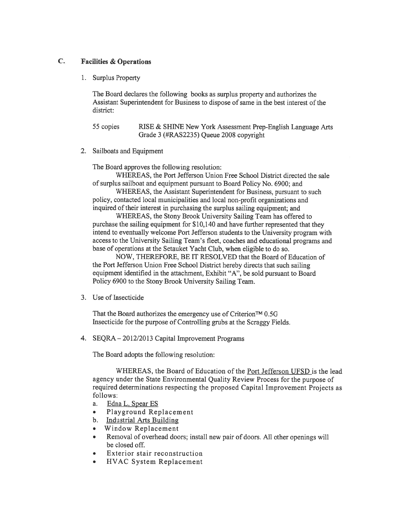#### C. Facilities & Operations

1. Surplus Property

The Board declares the following books as surplus property and authorizes the Assistant Superintendent for Business to dispose of same in the best interest of the district:

55 copies RISE & SHINE New York Assessment Prep-English Language Arts Grade 3 (#RAS2235) Queue 2008 copyright

2. Sailboats and Equipment

The Board approves the following resolution:

WHEREAS, the Port Jefferson Union Free School District directed the sale of surplus sailboat and equipment pursuan<sup>t</sup> to Board Policy No. 6900; and

WHEREAS, the Assistant Superintendent for Business, pursuan<sup>t</sup> to such policy, contacted local municipalities and local non-profit organizations and inquired of their interest in purchasing the surplus sailing equipment; and

WHEREAS, the Stony Brook University Sailing Team has offered to purchase the sailing equipment for \$10,140 and have further represented that they intend to eventually welcome Port Jefferson students to the University program with access to the University Sailing Team's fleet, coaches and educational programs and base of operations at the Setauket Yacht Club, when eligible to do so.

NOW, THEREFORE, BE IT RESOLVED that the Board of Education of the Port Jefferson Union Free School District hereby directs that such sailing equipment identified in the attachment, Exhibit "A", be sold pursuan<sup>t</sup> to Board Policy 6900 to the Stony Brook University Sailing Team.

3. Use of Insecticide

That the Board authorizes the emergency use of Criterion<sup>TM</sup> 0.5G Insecticide for the purpose of Controlling grubs at the Scraggy Fields.

4. SEQRA — 2012/2013 Capital Improvement Programs

The Board adopts the following resolution:

WHEREAS, the Board of Education of the Port Jefferson UFSD is the lead agency under the State Environmental Quality Review Process for the purpose of required determinations respecting the proposed Capital Improvement Projects as follows:

- a. Edna L. Spear ES
- •Playground Replacement
- b. Industrial Arts Building
- •Window Replacement
- • Removal of overhead doors; install new pair of doors. All other openings will be closed off.
- •Exterior stair reconstruction
- •HVAC System Replacement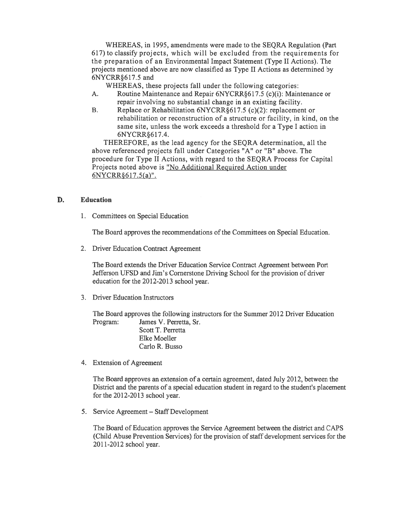WHEREAS, in 1995, amendments were made to the SEQRA Regulation (Part 617) to classify projects, which will be excluded from the requirements for the preparation of an Environmental Impact Statement (Type II Actions). The projects mentioned above are now classified as Type II Actions as determined by 6NYCRR6 17.5 and

WHEREAS, these projects fall under the following categories:

- A. Routine Maintenance and Repair 6NYCRR§ 617.5 (c)(i): Maintenance or repair involving no substantial change in an existing facility.
- B. Replace or Rehabilitation 6NYCRR§ 617.5 (c)(2): replacement or rehabilitation or reconstruction of <sup>a</sup> structure or facility, in kind, on the same site, unless the work exceeds <sup>a</sup> threshold for <sup>a</sup> Type I action in 6NYCRR617.4.

THEREFORE, as the lead agency for the SEQRA determination, all the above referenced projects fall under Categories "A" or "B" above. The procedure for Type II Actions, with regard to the SEQRA Process for Capital Projects noted above is "No Additional Required Action under  $6NYCRR\$  $617.5(a)$ ".

#### D. Education

1. Committees on Special Education

The Board approves the recommendations of the Committees on Special Education.

2. Driver Education Contract Agreement

The Board extends the Driver Education Service Contract Agreement between Port Jefferson UFSD and Jim's Cornerstone Driving School for the provision of driver education for the 2012-2013 school year.

3. Driver Education Instructors

The Board approves the following instructors for the Summer 2012 Driver Education Program: James V. Perretta, Sr.

> Scott T. Perretta Elke Moeller Carlo R. Busso

4. Extension of Agreement

The Board approves an extension of <sup>a</sup> certain agreement, dated July 2012, between the District and the parents of <sup>a</sup> special education student in regard to the student's placement for the 2012-2013 school year.

5. Service Agreement — Staff Development

The Board of Education approves the Service Agreement between the district and CAPS (Child Abuse Prevention Services) for the provision of staff development services for the 2011-2012 school year.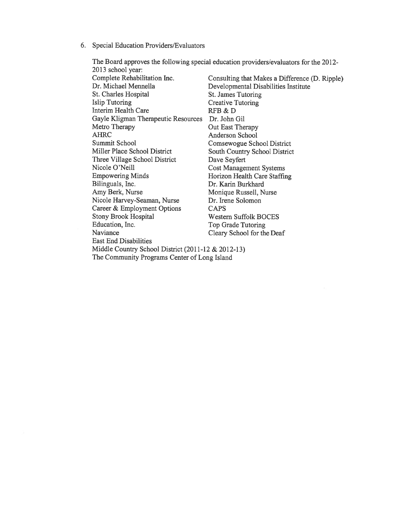6. Special Education Providers/Evaluators

| 2013 school year:                                  |                                                |
|----------------------------------------------------|------------------------------------------------|
| Complete Rehabilitation Inc.                       | Consulting that Makes a Difference (D. Ripple) |
| Dr. Michael Mennella                               | Developmental Disabilities Institute           |
| St. Charles Hospital                               | St. James Tutoring                             |
| <b>Islip Tutoring</b>                              | <b>Creative Tutoring</b>                       |
| Interim Health Care                                | RFB & D                                        |
| Gayle Kligman Therapeutic Resources                | Dr. John Gil                                   |
| Metro Therapy                                      | Out East Therapy                               |
| <b>AHRC</b>                                        | Anderson School                                |
| Summit School                                      | Comsewogue School District                     |
| Miller Place School District                       | <b>South Country School District</b>           |
| Three Village School District                      | Dave Seyfert                                   |
| Nicole O'Neill                                     | <b>Cost Management Systems</b>                 |
| <b>Empowering Minds</b>                            | Horizon Health Care Staffing                   |
| Bilinguals, Inc.                                   | Dr. Karin Burkhard                             |
| Amy Berk, Nurse                                    | Monique Russell, Nurse                         |
| Nicole Harvey-Seaman, Nurse                        | Dr. Irene Solomon                              |
| Career & Employment Options                        | <b>CAPS</b>                                    |
| <b>Stony Brook Hospital</b>                        | <b>Western Suffolk BOCES</b>                   |
| Education, Inc.                                    | Top Grade Tutoring                             |
| Naviance                                           | Cleary School for the Deaf                     |
| <b>East End Disabilities</b>                       |                                                |
| Middle Country School District (2011-12 & 2012-13) |                                                |
| The Community Programs Center of Long Island       |                                                |

The Board approves the following special education providers/evaluators for the 2012-